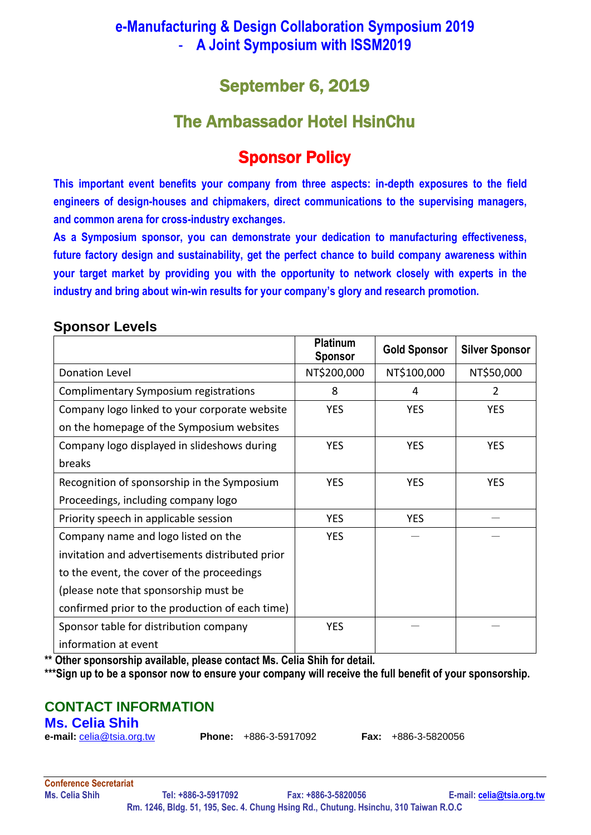## **e-Manufacturing & Design Collaboration Symposium 2019** - **A Joint Symposium with ISSM2019**

# September 6, 2019

# The Ambassador Hotel HsinChu

# Sponsor Policy

**This important event benefits your company from three aspects: in-depth exposures to the field engineers of design-houses and chipmakers, direct communications to the supervising managers, and common arena for cross-industry exchanges.**

**As a Symposium sponsor, you can demonstrate your dedication to manufacturing effectiveness, future factory design and sustainability, get the perfect chance to build company awareness within your target market by providing you with the opportunity to network closely with experts in the industry and bring about win-win results for your company's glory and research promotion.**

### **Sponsor Levels**

|                                                 | <b>Platinum</b><br><b>Sponsor</b> | <b>Gold Sponsor</b> | <b>Silver Sponsor</b> |
|-------------------------------------------------|-----------------------------------|---------------------|-----------------------|
| Donation Level                                  | NT\$200,000                       | NT\$100,000         | NT\$50,000            |
| Complimentary Symposium registrations           | 8                                 | 4                   | 2                     |
| Company logo linked to your corporate website   | <b>YES</b>                        | <b>YES</b>          | <b>YES</b>            |
| on the homepage of the Symposium websites       |                                   |                     |                       |
| Company logo displayed in slideshows during     | <b>YES</b>                        | <b>YES</b>          | <b>YES</b>            |
| breaks                                          |                                   |                     |                       |
| Recognition of sponsorship in the Symposium     | <b>YES</b>                        | <b>YES</b>          | <b>YES</b>            |
| Proceedings, including company logo             |                                   |                     |                       |
| Priority speech in applicable session           | <b>YES</b>                        | <b>YES</b>          |                       |
| Company name and logo listed on the             | <b>YES</b>                        |                     |                       |
| invitation and advertisements distributed prior |                                   |                     |                       |
| to the event, the cover of the proceedings      |                                   |                     |                       |
| (please note that sponsorship must be           |                                   |                     |                       |
| confirmed prior to the production of each time) |                                   |                     |                       |
| Sponsor table for distribution company          | <b>YES</b>                        |                     |                       |
| information at event                            |                                   |                     |                       |

**\*\* Other sponsorship available, please contact Ms. Celia Shih for detail.**

**\*\*\*Sign up to be a sponsor now to ensure your company will receive the full benefit of your sponsorship.**

## **CONTACT INFORMATION**

### **Ms. Celia Shih**

**e-mail:** [celia@tsia.org.tw](mailto:celia@tsia.org.tw) **Phone:** +886-3-5917092 **Fax:** +886-3-5820056